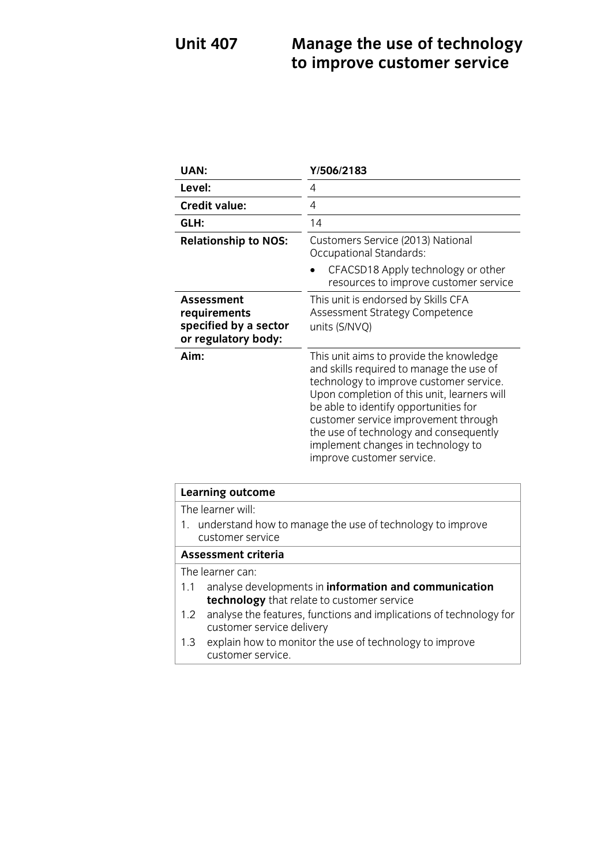### **Unit 407 Manage are accepted in the use of the use of the use of the use of the use of the use of the use of the use of the use of the use of the use of the use of the use of the use of the use of the use of the use of to improve customer service**

| UAN:                                                                              | Y/506/2183                                                                                                                                                                                                                                                                                                                                                                  |
|-----------------------------------------------------------------------------------|-----------------------------------------------------------------------------------------------------------------------------------------------------------------------------------------------------------------------------------------------------------------------------------------------------------------------------------------------------------------------------|
| Level:                                                                            | 4                                                                                                                                                                                                                                                                                                                                                                           |
| <b>Credit value:</b>                                                              | 4                                                                                                                                                                                                                                                                                                                                                                           |
| GLH:                                                                              | 14                                                                                                                                                                                                                                                                                                                                                                          |
| <b>Relationship to NOS:</b>                                                       | Customers Service (2013) National<br>Occupational Standards:                                                                                                                                                                                                                                                                                                                |
|                                                                                   | CFACSD18 Apply technology or other<br>resources to improve customer service                                                                                                                                                                                                                                                                                                 |
| <b>Assessment</b><br>requirements<br>specified by a sector<br>or regulatory body: | This unit is endorsed by Skills CFA<br>Assessment Strategy Competence<br>units (S/NVQ)                                                                                                                                                                                                                                                                                      |
| Aim:                                                                              | This unit aims to provide the knowledge<br>and skills required to manage the use of<br>technology to improve customer service.<br>Upon completion of this unit, learners will<br>be able to identify opportunities for<br>customer service improvement through<br>the use of technology and consequently<br>implement changes in technology to<br>improve customer service. |

| <b>Learning outcome</b>                                                          |                                                                                                     |
|----------------------------------------------------------------------------------|-----------------------------------------------------------------------------------------------------|
| The learner will:                                                                |                                                                                                     |
| 1. understand how to manage the use of technology to improve<br>customer service |                                                                                                     |
| <b>Assessment criteria</b>                                                       |                                                                                                     |
| The learner can:                                                                 |                                                                                                     |
| 1.1                                                                              | analyse developments in information and communication<br>technology that relate to customer service |
| 1.2                                                                              | analyse the features, functions and implications of technology for<br>customer service delivery     |
| 1.3                                                                              | explain how to monitor the use of technology to improve<br>customer service.                        |

<u>customer service.</u>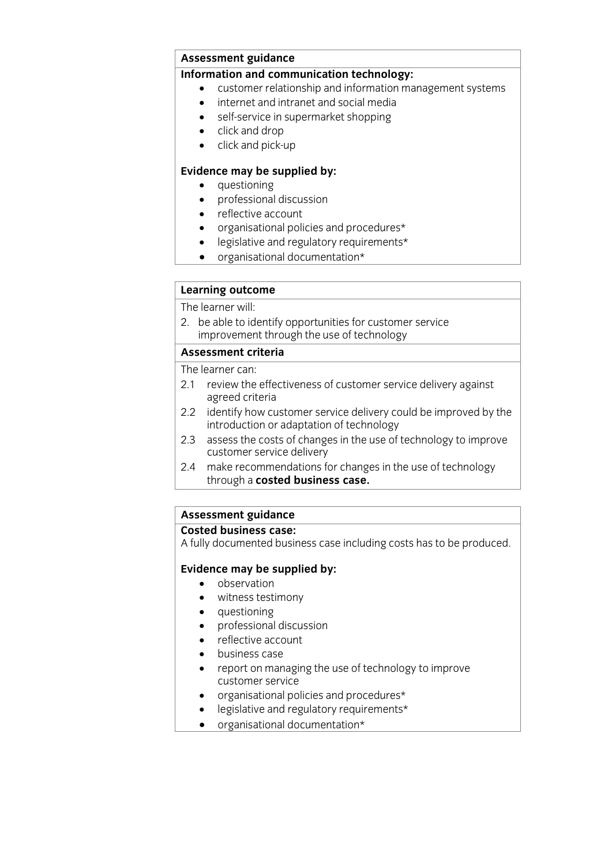# **Assessment guidance<br>Information and communication technology:**

- customer relationship and information management systems
	- internet and intranet and social media
	- self-service in supermarket shopping
	- $\bullet$  click and drop<br>  $\bullet$  click and nick-
	- click and pick-up

- 
- **questioning**<br>• **professional discussion** • professional discussion
	- reflective account
	- organisational policies and procedures\*
	- legislative and regulatory requirements\*
	- organisational documentation\*

# **Learning outcome**<br>The learner will:

2. be able to identify opportunities for customer service improvement through the use of technology

### Assessment criteria

The learner can:

- 2.1 review the effectiveness of customer service delivery against agreed criteria
- 2.2 identify how customer service delivery could be improved by the introduction or adaptation of technology
- 2.3 assess the costs of changes in the use of technology to improve customer service delivery
- 2.4 make recommendations for changes in the use of technology 2.4 make recommendations for changes in the use of technology through a **costed business case.**

### **Assessment guidance**

**Costed business case:** A fully documented business case including costs has to be produced.

- **Evidence** may be supplied by:
	- witness testimony
	- questioning
	- professional discussion
	- reflective account
	- business case
	- report on managing the use of technology to improve
	- organisational policies and procedures\*<br>• legislative and requistory requirements?
	- legislative and regulatory requirements\*
	- organisational documentation\*